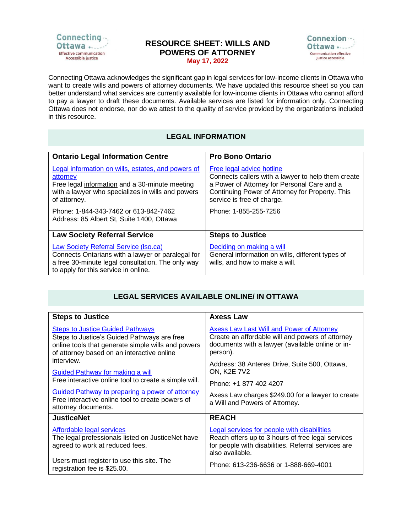

## **RESOURCE SHEET: WILLS AND POWERS OF ATTORNEY May 17, 2022**



Connecting Ottawa acknowledges the significant gap in legal services for low-income clients in Ottawa who want to create wills and powers of attorney documents. We have updated this resource sheet so you can better understand what services are currently available for low-income clients in Ottawa who cannot afford to pay a lawyer to draft these documents. Available services are listed for information only. Connecting Ottawa does not endorse, nor do we attest to the quality of service provided by the organizations included in this resource.

## **LEGAL INFORMATION**

| <b>Ontario Legal Information Centre</b>                                                                                                                                                 | <b>Pro Bono Ontario</b>                                                                                                                                                                                         |
|-----------------------------------------------------------------------------------------------------------------------------------------------------------------------------------------|-----------------------------------------------------------------------------------------------------------------------------------------------------------------------------------------------------------------|
| Legal information on wills, estates, and powers of<br>attorney<br>Free legal information and a 30-minute meeting<br>with a lawyer who specializes in wills and powers<br>of attorney.   | Free legal advice hotline<br>Connects callers with a lawyer to help them create<br>a Power of Attorney for Personal Care and a<br>Continuing Power of Attorney for Property. This<br>service is free of charge. |
| Phone: 1-844-343-7462 or 613-842-7462<br>Address: 85 Albert St, Suite 1400, Ottawa                                                                                                      | Phone: 1-855-255-7256                                                                                                                                                                                           |
| <b>Law Society Referral Service</b>                                                                                                                                                     | <b>Steps to Justice</b>                                                                                                                                                                                         |
| Law Society Referral Service (Iso.ca)<br>Connects Ontarians with a lawyer or paralegal for<br>a free 30-minute legal consultation. The only way<br>to apply for this service in online. | Deciding on making a will<br>General information on wills, different types of<br>wills, and how to make a will.                                                                                                 |

## **LEGAL SERVICES AVAILABLE ONLINE/ IN OTTAWA**

| <b>Steps to Justice</b>                                                                                                                                                                    | <b>Axess Law</b>                                                                                                                                                           |
|--------------------------------------------------------------------------------------------------------------------------------------------------------------------------------------------|----------------------------------------------------------------------------------------------------------------------------------------------------------------------------|
| <b>Steps to Justice Guided Pathways</b><br>Steps to Justice's Guided Pathways are free<br>online tools that generate simple wills and powers<br>of attorney based on an interactive online | <b>Axess Law Last Will and Power of Attorney</b><br>Create an affordable will and powers of attorney<br>documents with a lawyer (available online or in-<br>person).       |
| interview.<br><b>Guided Pathway for making a will</b>                                                                                                                                      | Address: 38 Anteres Drive, Suite 500, Ottawa,<br><b>ON, K2E 7V2</b>                                                                                                        |
| Free interactive online tool to create a simple will.                                                                                                                                      | Phone: +1 877 402 4207                                                                                                                                                     |
| <b>Guided Pathway to preparing a power of attorney</b><br>Free interactive online tool to create powers of<br>attorney documents.                                                          | Axess Law charges \$249.00 for a lawyer to create<br>a Will and Powers of Attorney.                                                                                        |
| <b>JusticeNet</b>                                                                                                                                                                          | <b>REACH</b>                                                                                                                                                               |
| Affordable legal services<br>The legal professionals listed on JusticeNet have<br>agreed to work at reduced fees.                                                                          | Legal services for people with disabilities<br>Reach offers up to 3 hours of free legal services<br>for people with disabilities. Referral services are<br>also available. |
| Users must register to use this site. The<br>registration fee is \$25.00.                                                                                                                  | Phone: 613-236-6636 or 1-888-669-4001                                                                                                                                      |